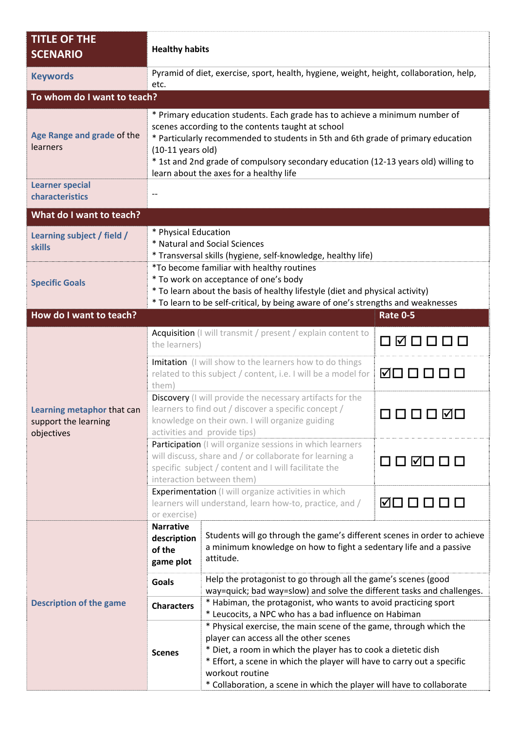| <b>TITLE OF THE</b><br><b>SCENARIO</b>                           | <b>Healthy habits</b>                                                                                                                                                                                                                                                                                                                                                           |                                                                                                                                                                                                                                                                                                                                                       |                                      |  |  |  |  |
|------------------------------------------------------------------|---------------------------------------------------------------------------------------------------------------------------------------------------------------------------------------------------------------------------------------------------------------------------------------------------------------------------------------------------------------------------------|-------------------------------------------------------------------------------------------------------------------------------------------------------------------------------------------------------------------------------------------------------------------------------------------------------------------------------------------------------|--------------------------------------|--|--|--|--|
| <b>Keywords</b>                                                  | Pyramid of diet, exercise, sport, health, hygiene, weight, height, collaboration, help,<br>etc.                                                                                                                                                                                                                                                                                 |                                                                                                                                                                                                                                                                                                                                                       |                                      |  |  |  |  |
| To whom do I want to teach?                                      |                                                                                                                                                                                                                                                                                                                                                                                 |                                                                                                                                                                                                                                                                                                                                                       |                                      |  |  |  |  |
| Age Range and grade of the<br>learners                           | * Primary education students. Each grade has to achieve a minimum number of<br>scenes according to the contents taught at school<br>* Particularly recommended to students in 5th and 6th grade of primary education<br>$(10-11$ years old)<br>* 1st and 2nd grade of compulsory secondary education (12-13 years old) willing to<br>learn about the axes for a healthy life    |                                                                                                                                                                                                                                                                                                                                                       |                                      |  |  |  |  |
| <b>Learner special</b><br>characteristics                        | $\overline{\phantom{a}}$                                                                                                                                                                                                                                                                                                                                                        |                                                                                                                                                                                                                                                                                                                                                       |                                      |  |  |  |  |
| What do I want to teach?                                         |                                                                                                                                                                                                                                                                                                                                                                                 |                                                                                                                                                                                                                                                                                                                                                       |                                      |  |  |  |  |
| Learning subject / field /<br><b>skills</b>                      | * Physical Education<br>* Natural and Social Sciences<br>* Transversal skills (hygiene, self-knowledge, healthy life)<br>*To become familiar with healthy routines<br>* To work on acceptance of one's body<br>* To learn about the basis of healthy lifestyle (diet and physical activity)<br>* To learn to be self-critical, by being aware of one's strengths and weaknesses |                                                                                                                                                                                                                                                                                                                                                       |                                      |  |  |  |  |
| <b>Specific Goals</b>                                            |                                                                                                                                                                                                                                                                                                                                                                                 |                                                                                                                                                                                                                                                                                                                                                       |                                      |  |  |  |  |
| How do I want to teach?                                          |                                                                                                                                                                                                                                                                                                                                                                                 |                                                                                                                                                                                                                                                                                                                                                       | <b>Rate 0-5</b>                      |  |  |  |  |
| Learning metaphor that can<br>support the learning<br>objectives | Acquisition (I will transmit / present / explain content to<br>the learners)                                                                                                                                                                                                                                                                                                    |                                                                                                                                                                                                                                                                                                                                                       | □ ☑ □ □ □                            |  |  |  |  |
|                                                                  | Imitation (I will show to the learners how to do things<br>related to this subject / content, i.e. I will be a model for<br>them)                                                                                                                                                                                                                                               |                                                                                                                                                                                                                                                                                                                                                       | ◙□□□□                                |  |  |  |  |
|                                                                  | Discovery (I will provide the necessary artifacts for the<br>learners to find out / discover a specific concept /<br>knowledge on their own. I will organize guiding<br>activities and provide tips)                                                                                                                                                                            |                                                                                                                                                                                                                                                                                                                                                       |                                      |  |  |  |  |
|                                                                  | Participation (I will organize sessions in which learners<br>will discuss, share and / or collaborate for learning a<br>specific subject / content and I will facilitate the<br>interaction between them)                                                                                                                                                                       |                                                                                                                                                                                                                                                                                                                                                       | $\Box \Box \boxtimes \Box \Box \Box$ |  |  |  |  |
|                                                                  | Experimentation (I will organize activities in which<br>learners will understand, learn how-to, practice, and /<br>or exercise)                                                                                                                                                                                                                                                 |                                                                                                                                                                                                                                                                                                                                                       | ☑□□□□□                               |  |  |  |  |
| <b>Description of the game</b>                                   | <b>Narrative</b><br>description<br>of the<br>game plot                                                                                                                                                                                                                                                                                                                          | Students will go through the game's different scenes in order to achieve<br>a minimum knowledge on how to fight a sedentary life and a passive<br>attitude.                                                                                                                                                                                           |                                      |  |  |  |  |
|                                                                  | <b>Goals</b>                                                                                                                                                                                                                                                                                                                                                                    | Help the protagonist to go through all the game's scenes (good                                                                                                                                                                                                                                                                                        |                                      |  |  |  |  |
|                                                                  | <b>Characters</b>                                                                                                                                                                                                                                                                                                                                                               | way=quick; bad way=slow) and solve the different tasks and challenges.<br>* Habiman, the protagonist, who wants to avoid practicing sport<br>* Leucocits, a NPC who has a bad influence on Habiman                                                                                                                                                    |                                      |  |  |  |  |
|                                                                  | <b>Scenes</b>                                                                                                                                                                                                                                                                                                                                                                   | * Physical exercise, the main scene of the game, through which the<br>player can access all the other scenes<br>* Diet, a room in which the player has to cook a dietetic dish<br>* Effort, a scene in which the player will have to carry out a specific<br>workout routine<br>* Collaboration, a scene in which the player will have to collaborate |                                      |  |  |  |  |